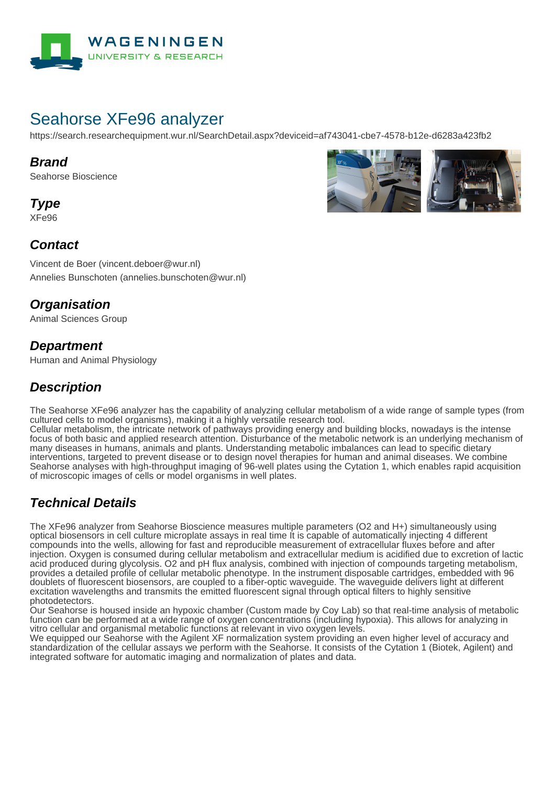

# Seahorse XFe96 analyzer

https://search.researchequipment.wur.nl/SearchDetail.aspx?deviceid=af743041-cbe7-4578-b12e-d6283a423fb2

#### **Brand**

Seahorse Bioscience

**Type**

XFe96



### **Contact**

Vincent de Boer (vincent.deboer@wur.nl) Annelies Bunschoten (annelies.bunschoten@wur.nl)

## **Organisation**

Animal Sciences Group

#### **Department**

Human and Animal Physiology

## **Description**

The Seahorse XFe96 analyzer has the capability of analyzing cellular metabolism of a wide range of sample types (from cultured cells to model organisms), making it a highly versatile research tool.

Cellular metabolism, the intricate network of pathways providing energy and building blocks, nowadays is the intense focus of both basic and applied research attention. Disturbance of the metabolic network is an underlying mechanism of many diseases in humans, animals and plants. Understanding metabolic imbalances can lead to specific dietary interventions, targeted to prevent disease or to design novel therapies for human and animal diseases. We combine Seahorse analyses with high-throughput imaging of 96-well plates using the Cytation 1, which enables rapid acquisition of microscopic images of cells or model organisms in well plates.

## **Technical Details**

The XFe96 analyzer from Seahorse Bioscience measures multiple parameters (O2 and H+) simultaneously using optical biosensors in cell culture microplate assays in real time It is capable of automatically injecting 4 different compounds into the wells, allowing for fast and reproducible measurement of extracellular fluxes before and after injection. Oxygen is consumed during cellular metabolism and extracellular medium is acidified due to excretion of lactic acid produced during glycolysis. O2 and pH flux analysis, combined with injection of compounds targeting metabolism, provides a detailed profile of cellular metabolic phenotype. In the instrument disposable cartridges, embedded with 96 doublets of fluorescent biosensors, are coupled to a fiber-optic waveguide. The waveguide delivers light at different excitation wavelengths and transmits the emitted fluorescent signal through optical filters to highly sensitive photodetectors.

Our Seahorse is housed inside an hypoxic chamber (Custom made by Coy Lab) so that real-time analysis of metabolic function can be performed at a wide range of oxygen concentrations (including hypoxia). This allows for analyzing in vitro cellular and organismal metabolic functions at relevant in vivo oxygen levels.

We equipped our Seahorse with the Agilent XF normalization system providing an even higher level of accuracy and standardization of the cellular assays we perform with the Seahorse. It consists of the Cytation 1 (Biotek, Agilent) and integrated software for automatic imaging and normalization of plates and data.